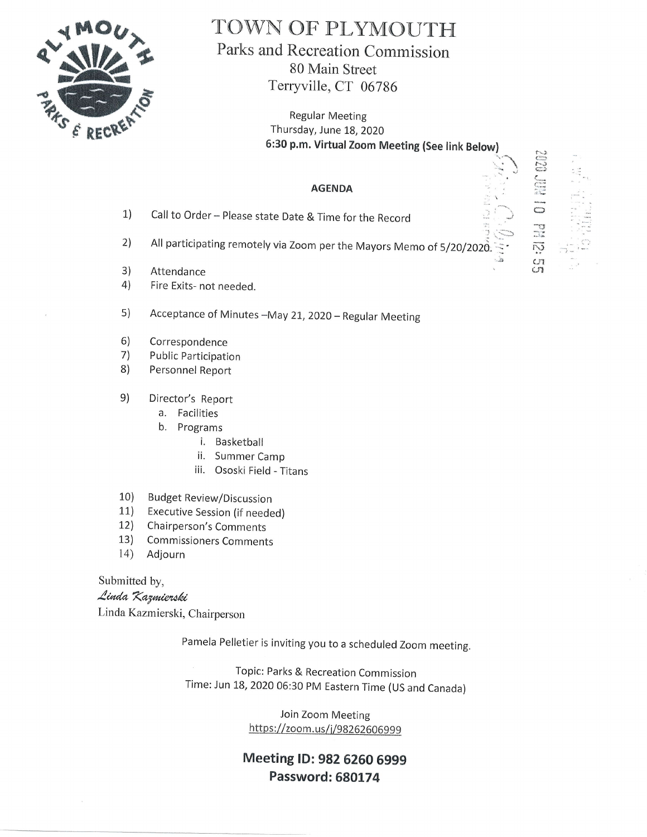

## TOWN OF PLYMOUTH Parks and Recreation Commission 80 Main Street

Terryville, CT 06786

Regular Meeting Thursday, June 18, 2020 6:30 p.m. Virtual Zoom Meeting (See link Below)

> 1 - .::. -1

> > $\frac{c}{c}n$

محصود<br>المراجع<br>الأساسية  $\overline{\mathcal{D}}$ 

r" '

## AGENDA

- Call to Order Please state Date & Time for the Record 1)
- All participating remotely via Zoom per the Mayors Memo of 5/20/202 $\vec{\hat{\delta}}$ .  $\vec{\hat{\cdot}}$ 2)
- Attendance "'& 3)
- Fire Exits- not needed. 4)
- 5) Acceptance of Minutes -May 21, 2020 - Regular Meeting
- Correspondence 6)
- Public Participation 7)
- Personnel Report 8)
- Director's Report e)
	- a. Facilities
	- b, Programs
		- i. Baskertball
		- ii. Summer Camp
		- iii. Ososki Field Titans
- 10) Budget Review/Discussion
- 11) Executive Session (if needed)
- 12) Chairperson's Comments
- 13) Commissioners Comments
- 14) Adjourn

Submitted by,

Linda Kazmierski

Linda Kazmierski, Chairperson

Pamela Pelletier is inviting you to a scheduled Zoom meeting.

Topic: Parks & Recreation Commission Time: Jun 18, 2020 06:30 PM Eastern Time (US and Canada)

> Join Zoom Meeting https://zoom.us/j/98262606999

## Meeting ID: 982 6260 6999 Password: 680174